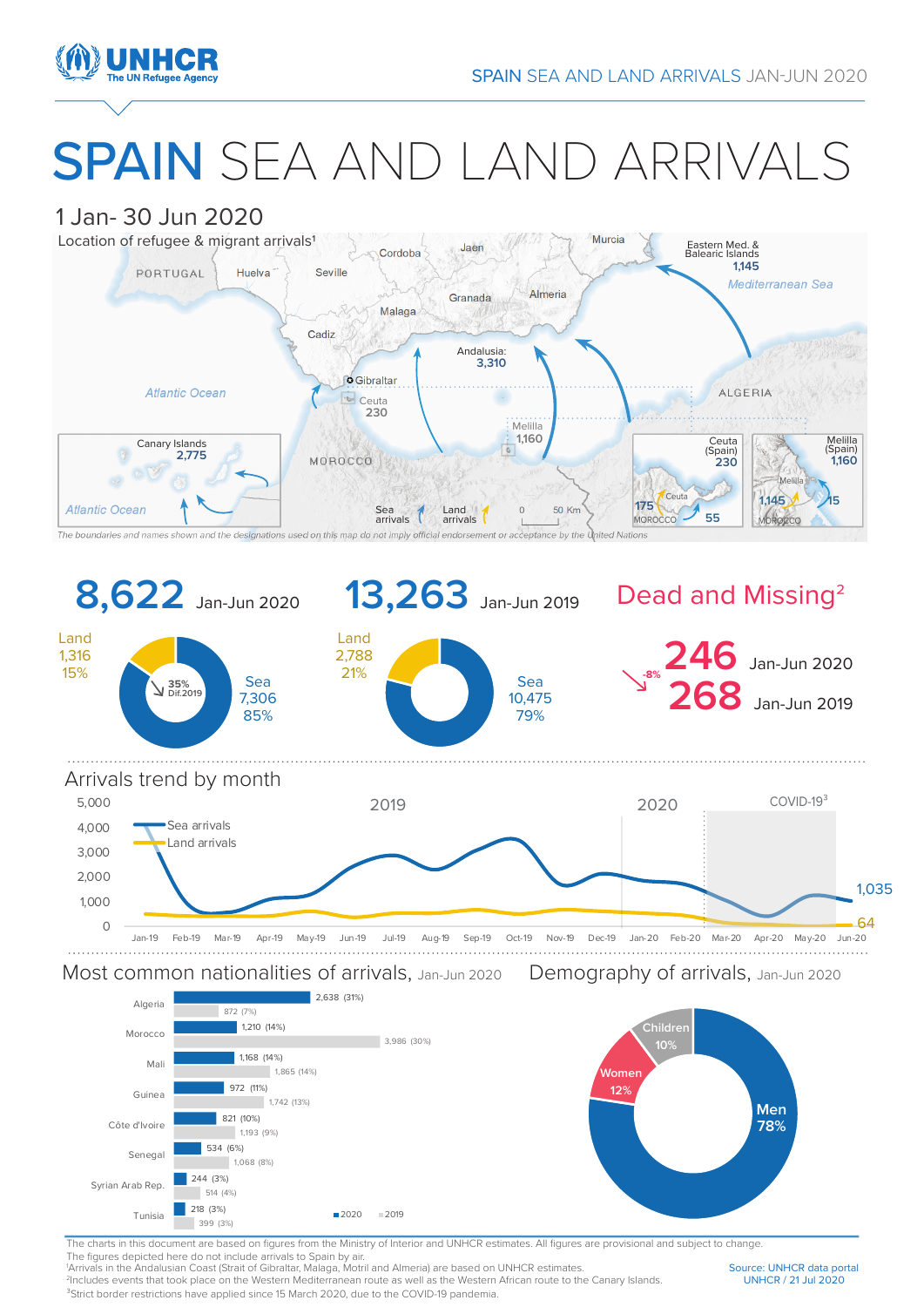

## SPAIN SEA AND LAND ARRIVALS





The charts in this document are based on figures from the Ministry of Interior and UNHCR estimates. All figures are provisional and subject to change. The figures depicted here do not include arrivals to Spain by air.

1 Arrivals in the Andalusian Coast (Strait of Gibraltar, Malaga, Motril and Almeria) are based on UNHCR estimates. 2Includes events that took place on the Western Mediterranean route as well as the Western African route to the Canary Islands. <sup>3</sup>Strict border restrictions have applied since 15 March 2020, due to the COVID-19 pandemia.